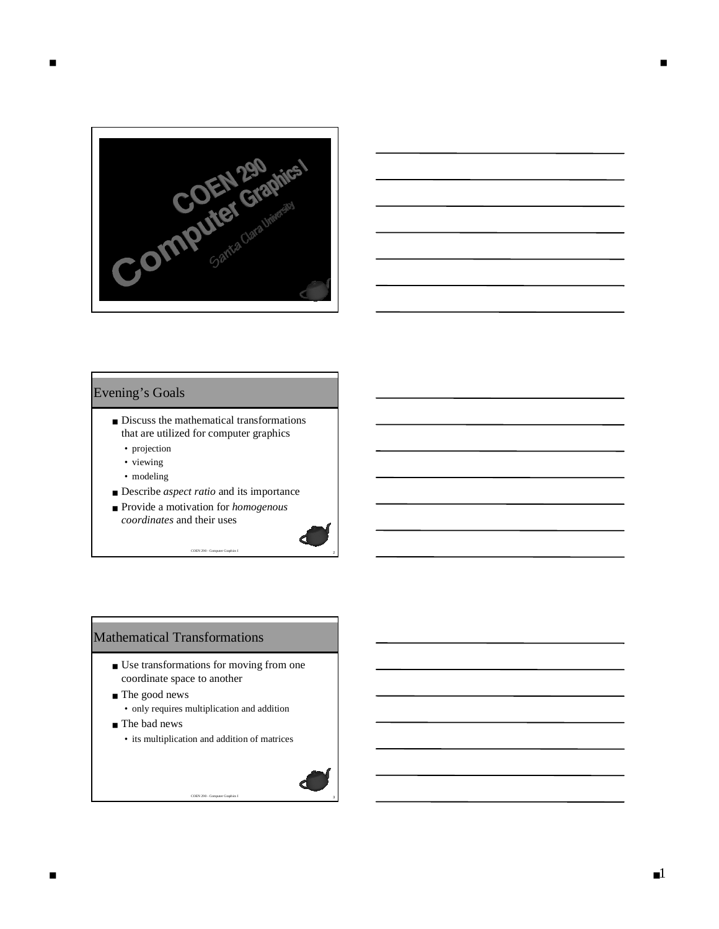



#### Evening's Goals

- Discuss the mathematical transformations that are utilized for computer graphics
	- projection
	- viewing
	- modeling
- Describe *aspect ratio* and its importance

<sup>2</sup> COEN 290 - Computer Graphics I

■ Provide a motivation for *homogenous coordinates* and their uses

#### Mathematical Transformations

- Use transformations for moving from one coordinate space to another
- The good news
	- only requires multiplication and addition
- The bad news
	- its multiplication and addition of matrices

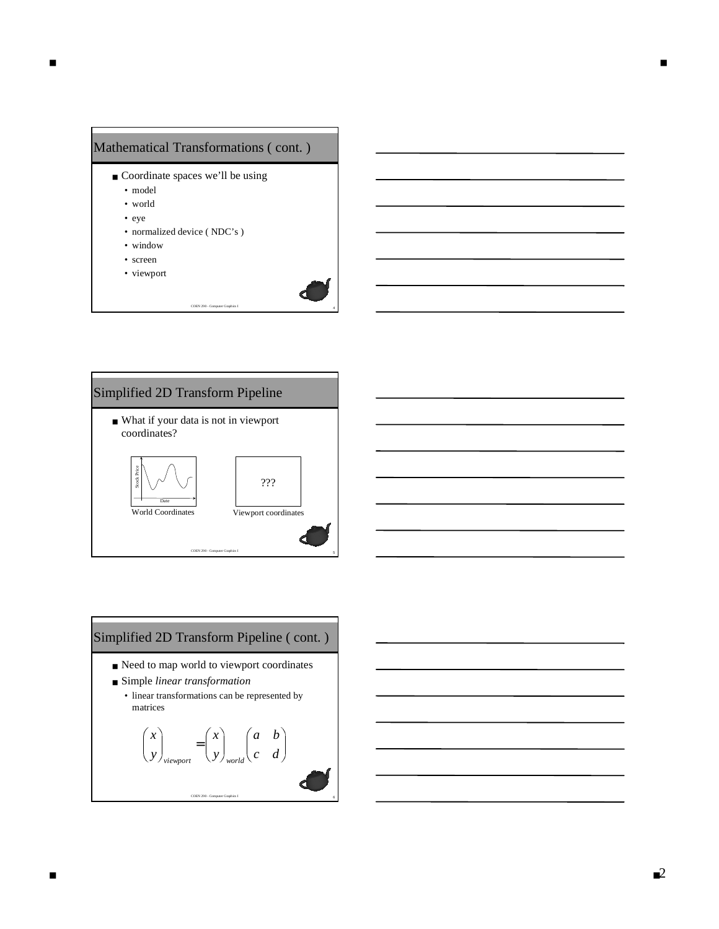



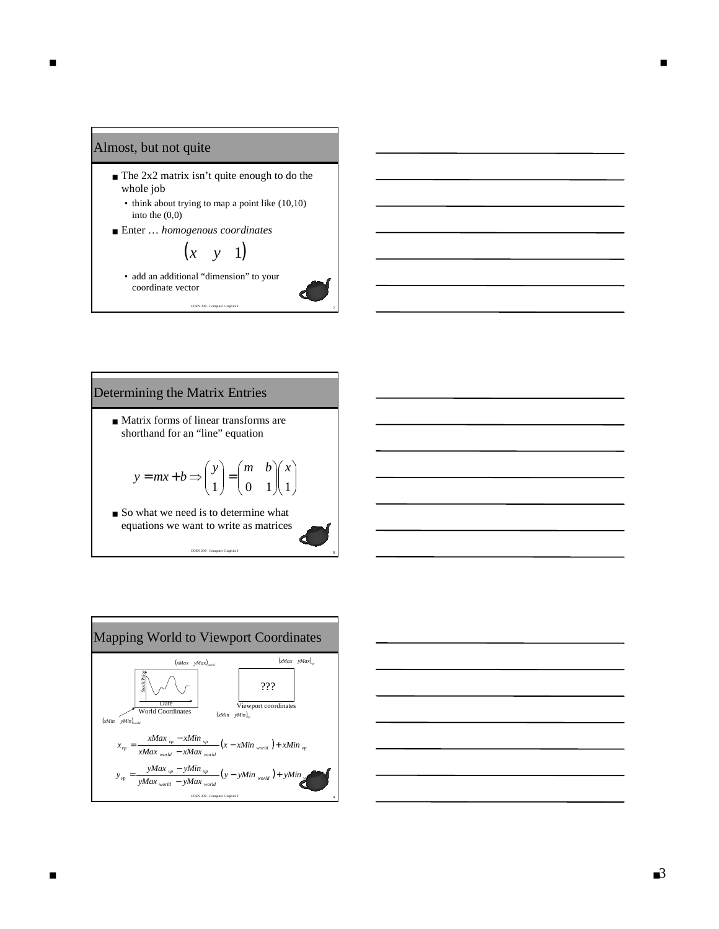#### Almost, but not quite

- The 2x2 matrix isn't quite enough to do the whole job
	- think about trying to map a point like (10,10) into the (0,0)
- Enter … *homogenous coordinates*

# $(x \quad y \quad 1)$

<sup>7</sup> COEN 290 - Computer Graphics I

• add an additional "dimension" to your coordinate vector

## Determining the Matrix Entries

■ Matrix forms of linear transforms are shorthand for an "line" equation

$$
y = mx + b \Longrightarrow \begin{pmatrix} y \\ 1 \end{pmatrix} = \begin{pmatrix} m & b \\ 0 & 1 \end{pmatrix} \begin{pmatrix} x \\ 1 \end{pmatrix}
$$

■ So what we need is to determine what equations we want to write as matrices



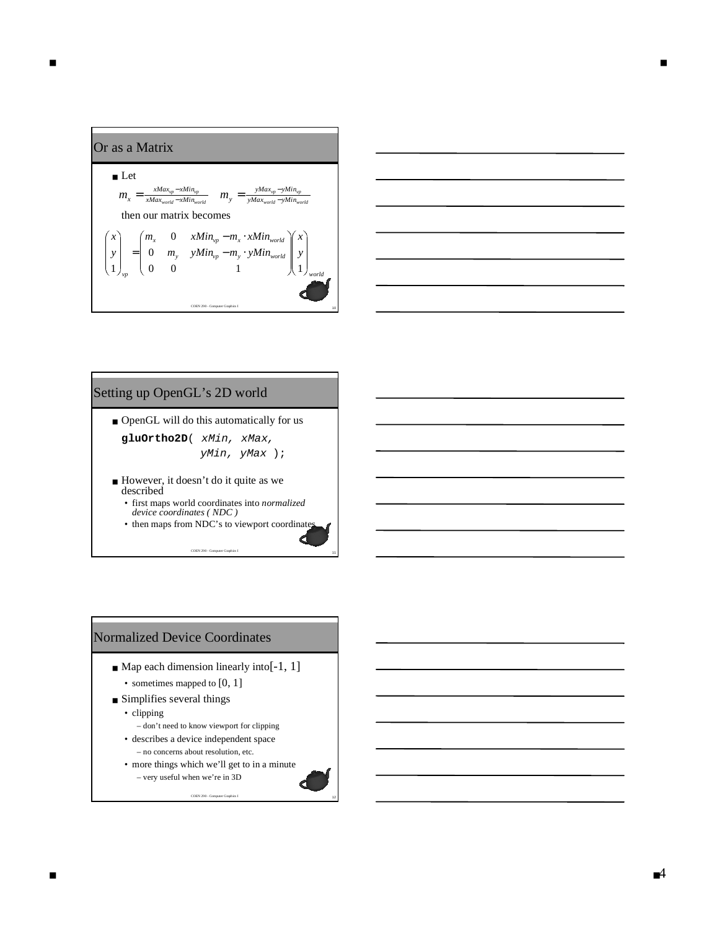



#### Setting up OpenGL's 2D world

- OpenGL will do this automatically for us **gluOrtho2D**( xMin, xMax, yMin, yMax );
- However, it doesn't do it quite as we described
	- first maps world coordinates into *normalized device coordinates ( NDC )*
	- then maps from NDC's to viewport coordinates

<sup>11</sup> COEN 290 - Computer Graphics I

#### Normalized Device Coordinates

- $\blacksquare$  Map each dimension linearly into [-1, 1]
	- sometimes mapped to [0, 1]
- Simplifies several things
	- clipping
		- don't need to know viewport for clipping
	- describes a device independent space – no concerns about resolution, etc.
	- more things which we'll get to in a minute – very useful when we're in 3D

<sup>12</sup> COEN 290 - Computer Graphics I

■ ■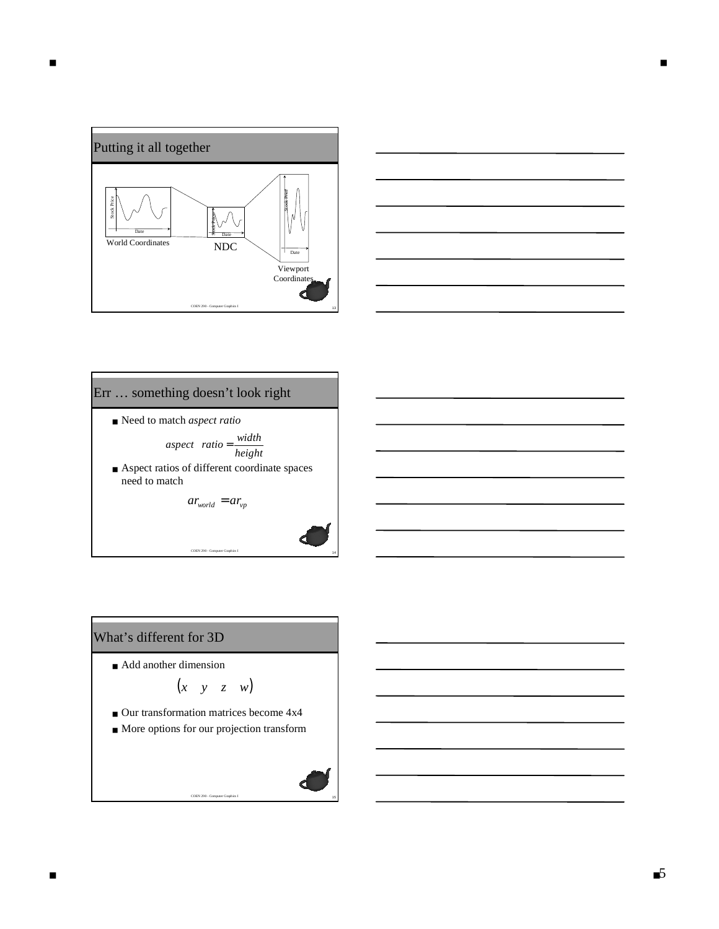



#### Err … something doesn't look right

■ Need to match *aspect ratio* 

*height width aspect ratio* =

■ Aspect ratios of different coordinate spaces need to match

 $ar_{world} = ar_{vp}$ 

1<br>14 Therefore Graphics I

# What's different for 3D

■ Add another dimension

$$
\begin{pmatrix} x & y & z & w \end{pmatrix}
$$

- Our transformation matrices become 4x4
- More options for our projection transform

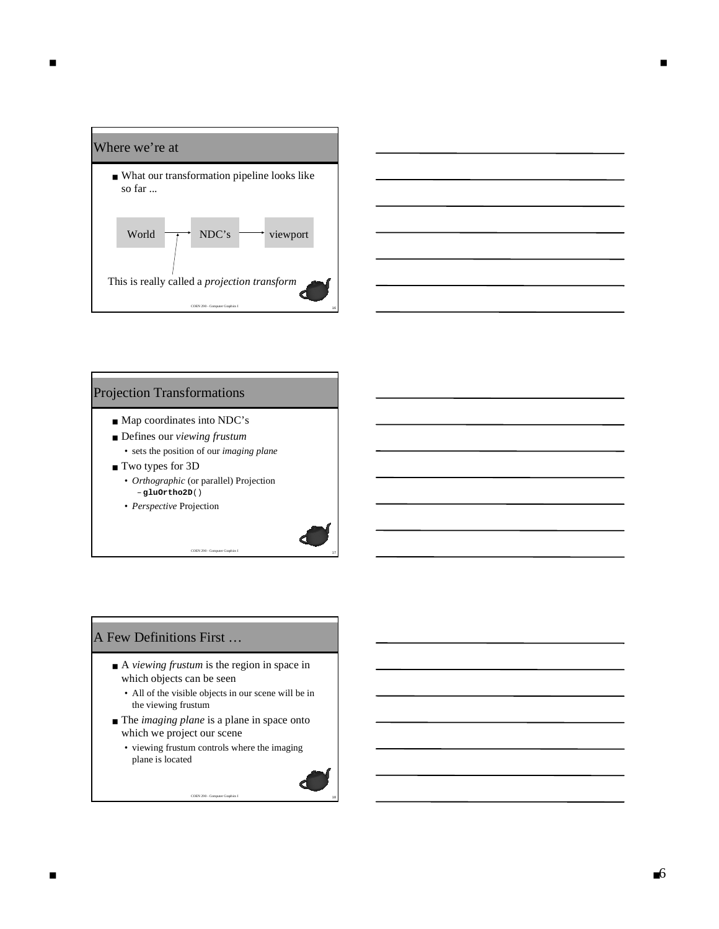



#### Projection Transformations

- Map coordinates into NDC's
- Defines our *viewing frustum* 
	- sets the position of our *imaging plane*
- Two types for 3D
	- *Orthographic* (or parallel) Projection – **gluOrtho2D**()
	- *Perspective* Projection

#### A Few Definitions First …

- A *viewing frustum* is the region in space in which objects can be seen
	- All of the visible objects in our scene will be in the viewing frustum

<sup>17</sup> COEN 290 - Computer Graphics I

- The *imaging plane* is a plane in space onto which we project our scene
	- viewing frustum controls where the imaging plane is located

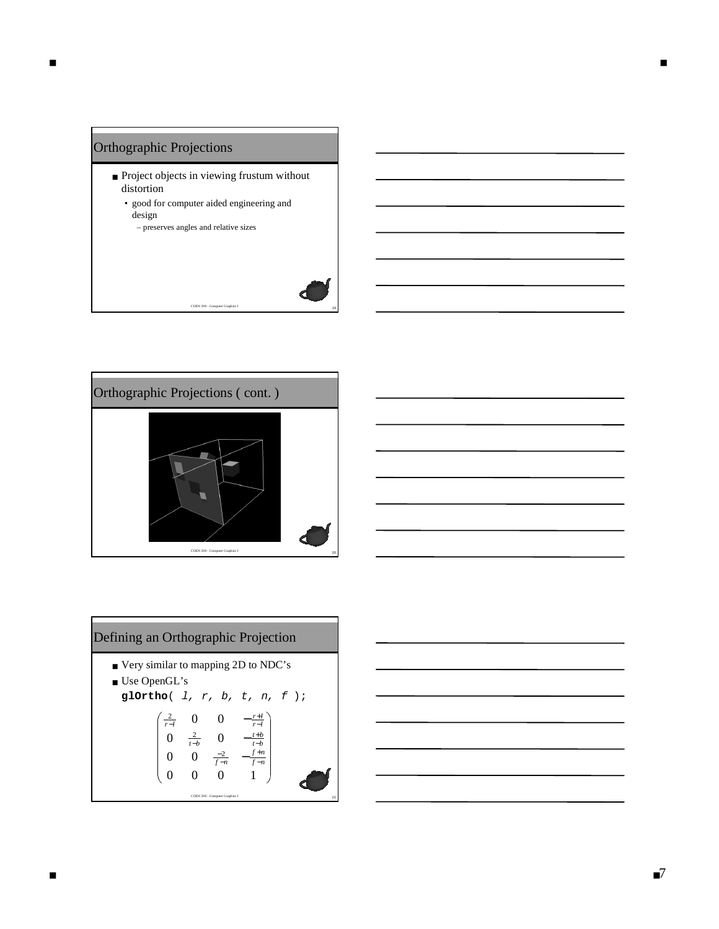



Defining an Orthographic Projection

\n■ Very similar to mapping 2D to NDC's

\n■ Use OpenGL's

\ng1Ortho( 1, r, b, t, n, f );

\n
$$
\begin{pmatrix}\n\frac{2}{r-l} & 0 & 0 & -\frac{r+l}{r-l} \\
0 & \frac{2}{r-b} & 0 & -\frac{t+b}{t-b} \\
0 & 0 & \frac{-2}{f-n} & -\frac{f+n}{f-n} \\
0 & 0 & 0 & 1\n\end{pmatrix}
$$

$$
\begin{array}{|c|c|c|}\hline \hline \multicolumn{3}{|c|}{\hline} \multicolumn{3}{|c|}{\hline} \multicolumn{3}{|c|}{\hline} \multicolumn{3}{|c|}{\hline} \multicolumn{3}{|c|}{\hline} \multicolumn{3}{|c|}{\hline} \multicolumn{3}{|c|}{\hline} \multicolumn{3}{|c|}{\hline} \multicolumn{3}{|c|}{\hline} \multicolumn{3}{|c|}{\hline} \multicolumn{3}{|c|}{\hline} \multicolumn{3}{|c|}{\hline} \multicolumn{3}{|c|}{\hline} \multicolumn{3}{|c|}{\hline} \multicolumn{3}{|c|}{\hline} \multicolumn{3}{|c|}{\hline} \multicolumn{3}{|c|}{\hline} \multicolumn{3}{|c|}{\hline} \multicolumn{3}{|c|}{\hline} \multicolumn{3}{|c|}{\hline} \multicolumn{3}{|c|}{\hline} \multicolumn{3}{|c|}{\hline} \multicolumn{3}{|c|}{\hline} \multicolumn{3}{|c|}{\hline} \multicolumn{3}{|c|}{\hline} \multicolumn{3}{|c|}{\hline} \multicolumn{3}{|c|}{\hline} \multicolumn{3}{|c|}{\hline} \multicolumn{3}{|c|}{\hline} \multicolumn{3}{|c|}{\hline} \multicolumn{3}{|c|}{\hline} \multicolumn{3}{|c|}{\hline} \multicolumn{3}{|c|}{\hline} \multicolumn{3}{|c|}{\hline} \multicolumn{3}{|c|}{\hline} \multicolumn{3}{|c|}{\hline} \multicolumn{3}{|c|}{\hline} \multicolumn{3}{|c|}{\hline} \multicolumn{3}{|c|}{\hline} \multicolumn{3}{|c|}{\hline} \multicolumn{3}{|c|}{\hline} \multicolumn{3}{|c|}{\hline} \multicolumn{3}{|c|}{\hline} \multicolumn{3}{|c|}{\hline} \multicolumn{3}{|c|}{\hline} \multicolumn{3}{|c|}{\hline} \multicolumn{3}{|c|}{\hline} \multicolumn{3}{|c|}{\hline} \multicolumn{3}{|c|}{\hline} \multicolumn{3}{
$$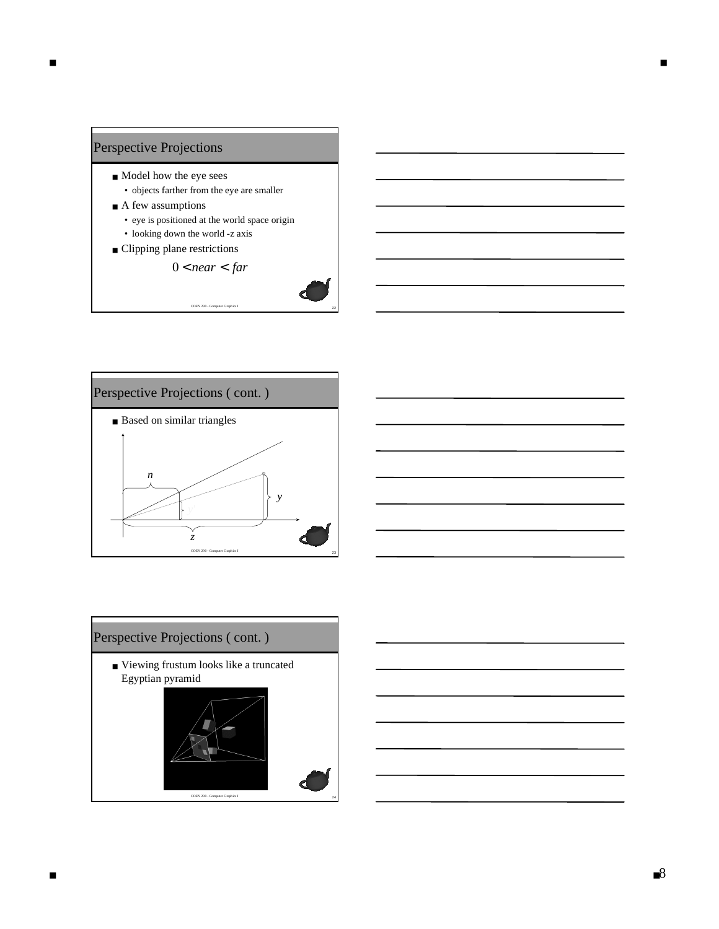

■ ■





■ Viewing frustum looks like a truncated Egyptian pyramid

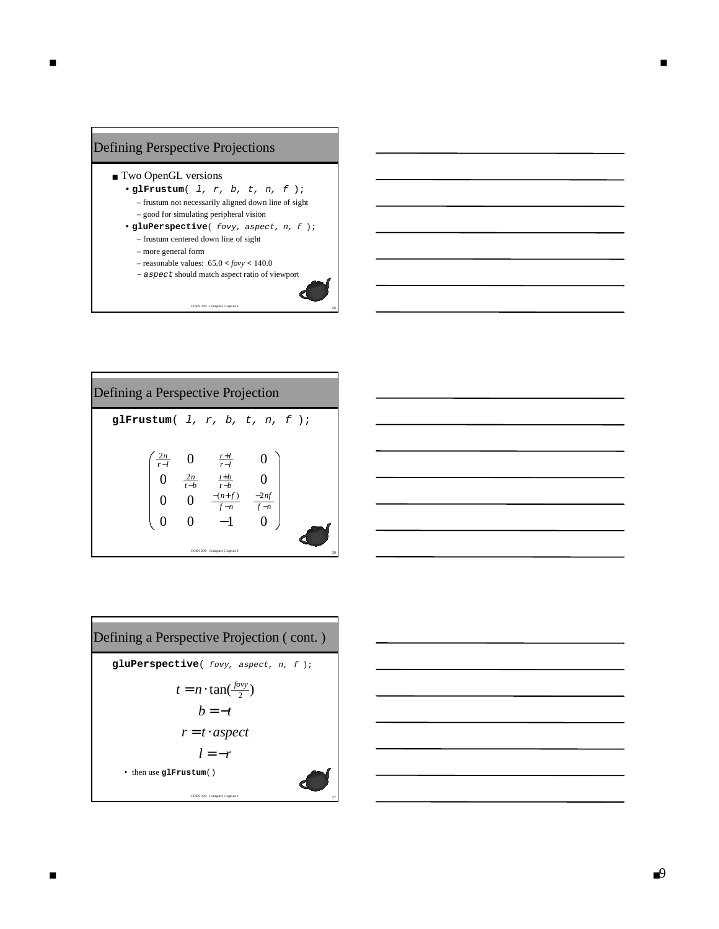